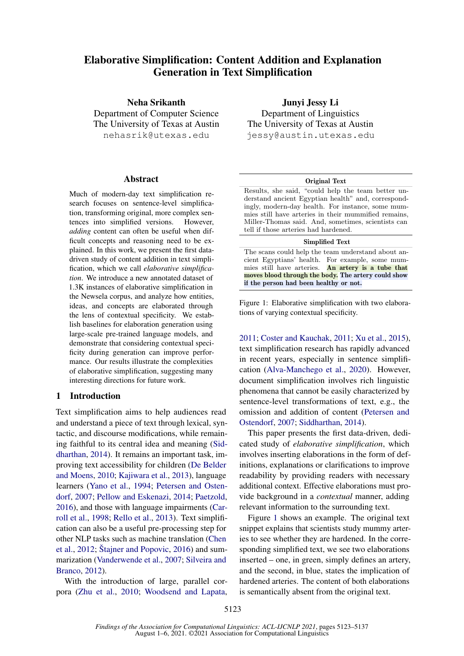# Elaborative Simplification: Content Addition and Explanation Generation in Text Simplification

Neha Srikanth Department of Computer Science The University of Texas at Austin nehasrik@utexas.edu

#### Abstract

Much of modern-day text simplification research focuses on sentence-level simplification, transforming original, more complex sentences into simplified versions. However, *adding* content can often be useful when difficult concepts and reasoning need to be explained. In this work, we present the first datadriven study of content addition in text simplification, which we call *elaborative simplification*. We introduce a new annotated dataset of 1.3K instances of elaborative simplification in the Newsela corpus, and analyze how entities, ideas, and concepts are elaborated through the lens of contextual specificity. We establish baselines for elaboration generation using large-scale pre-trained language models, and demonstrate that considering contextual specificity during generation can improve performance. Our results illustrate the complexities of elaborative simplification, suggesting many interesting directions for future work.

# 1 Introduction

Text simplification aims to help audiences read and understand a piece of text through lexical, syntactic, and discourse modifications, while remaining faithful to its central idea and meaning [\(Sid](#page-10-0)[dharthan,](#page-10-0) [2014\)](#page-10-0). It remains an important task, improving text accessibility for children [\(De Belder](#page-9-0) [and Moens,](#page-9-0) [2010;](#page-9-0) [Kajiwara et al.,](#page-9-1) [2013\)](#page-9-1), language learners [\(Yano et al.,](#page-11-0) [1994;](#page-11-0) [Petersen and Osten](#page-10-1)[dorf,](#page-10-1) [2007;](#page-10-1) [Pellow and Eskenazi,](#page-10-2) [2014;](#page-10-2) [Paetzold,](#page-10-3) [2016\)](#page-10-3), and those with language impairments [\(Car](#page-8-0)[roll et al.,](#page-8-0) [1998;](#page-8-0) [Rello et al.,](#page-10-4) [2013\)](#page-10-4). Text simplification can also be a useful pre-processing step for other NLP tasks such as machine translation [\(Chen](#page-9-2) [et al.,](#page-9-2)  $2012$ ; Štajner and Popovic,  $2016$ ) and summarization [\(Vanderwende et al.,](#page-10-6) [2007;](#page-10-6) [Silveira and](#page-10-7) [Branco,](#page-10-7) [2012\)](#page-10-7).

With the introduction of large, parallel corpora [\(Zhu et al.,](#page-11-1) [2010;](#page-11-1) [Woodsend and Lapata,](#page-11-2)

Junyi Jessy Li Department of Linguistics The University of Texas at Austin jessy@austin.utexas.edu

#### Original Text

<span id="page-0-0"></span>Results, she said, "could help the team better understand ancient Egyptian health" and, correspondingly, modern-day health. For instance, some mummies still have arteries in their mummified remains, Miller-Thomas said. And, sometimes, scientists can tell if those arteries had hardened.

#### Simplified Text

The scans could help the team understand about ancient Egyptians' health. For example, some mummies still have arteries. An artery is a tube that moves blood through the body. The artery could show if the person had been healthy or not.

Figure 1: Elaborative simplification with two elaborations of varying contextual specificity.

[2011;](#page-11-2) [Coster and Kauchak,](#page-9-3) [2011;](#page-9-3) [Xu et al.,](#page-11-3) [2015\)](#page-11-3), text simplification research has rapidly advanced in recent years, especially in sentence simplification [\(Alva-Manchego et al.,](#page-8-1) [2020\)](#page-8-1). However, document simplification involves rich linguistic phenomena that cannot be easily characterized by sentence-level transformations of text, e.g., the omission and addition of content [\(Petersen and](#page-10-1) [Ostendorf,](#page-10-1) [2007;](#page-10-1) [Siddharthan,](#page-10-0) [2014\)](#page-10-0).

This paper presents the first data-driven, dedicated study of *elaborative simplification*, which involves inserting elaborations in the form of definitions, explanations or clarifications to improve readability by providing readers with necessary additional context. Effective elaborations must provide background in a *contextual* manner, adding relevant information to the surrounding text.

Figure [1](#page-0-0) shows an example. The original text snippet explains that scientists study mummy arteries to see whether they are hardened. In the corresponding simplified text, we see two elaborations inserted – one, in green, simply defines an artery, and the second, in blue, states the implication of hardened arteries. The content of both elaborations is semantically absent from the original text.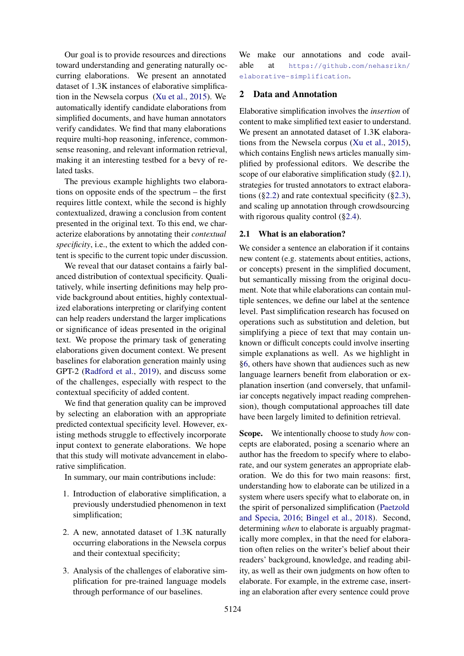Our goal is to provide resources and directions toward understanding and generating naturally occurring elaborations. We present an annotated dataset of 1.3K instances of elaborative simplification in the Newsela corpus [\(Xu et al.,](#page-11-3) [2015\)](#page-11-3). We automatically identify candidate elaborations from simplified documents, and have human annotators verify candidates. We find that many elaborations require multi-hop reasoning, inference, commonsense reasoning, and relevant information retrieval, making it an interesting testbed for a bevy of related tasks.

The previous example highlights two elaborations on opposite ends of the spectrum – the first requires little context, while the second is highly contextualized, drawing a conclusion from content presented in the original text. To this end, we characterize elaborations by annotating their *contextual specificity*, i.e., the extent to which the added content is specific to the current topic under discussion.

We reveal that our dataset contains a fairly balanced distribution of contextual specificity. Qualitatively, while inserting definitions may help provide background about entities, highly contextualized elaborations interpreting or clarifying content can help readers understand the larger implications or significance of ideas presented in the original text. We propose the primary task of generating elaborations given document context. We present baselines for elaboration generation mainly using GPT-2 [\(Radford et al.,](#page-10-8) [2019\)](#page-10-8), and discuss some of the challenges, especially with respect to the contextual specificity of added content.

We find that generation quality can be improved by selecting an elaboration with an appropriate predicted contextual specificity level. However, existing methods struggle to effectively incorporate input context to generate elaborations. We hope that this study will motivate advancement in elaborative simplification.

In summary, our main contributions include:

- 1. Introduction of elaborative simplification, a previously understudied phenomenon in text simplification;
- 2. A new, annotated dataset of 1.3K naturally occurring elaborations in the Newsela corpus and their contextual specificity;
- 3. Analysis of the challenges of elaborative simplification for pre-trained language models through performance of our baselines.

We make our annotations and code available at [https://github.com/nehasrikn/](https://github.com/nehasrikn/elaborative-simplification) [elaborative-simplification](https://github.com/nehasrikn/elaborative-simplification).

### 2 Data and Annotation

Elaborative simplification involves the *insertion* of content to make simplified text easier to understand. We present an annotated dataset of 1.3K elaborations from the Newsela corpus [\(Xu et al.,](#page-11-3) [2015\)](#page-11-3), which contains English news articles manually simplified by professional editors. We describe the scope of our elaborative simplification study ([§2.1\)](#page-1-0), strategies for trusted annotators to extract elaborations ( $\S 2.2$ ) and rate contextual specificity ( $\S 2.3$ ), and scaling up annotation through crowdsourcing with rigorous quality control ([§2.4\)](#page-3-1).

# <span id="page-1-0"></span>2.1 What is an elaboration?

We consider a sentence an elaboration if it contains new content (e.g. statements about entities, actions, or concepts) present in the simplified document, but semantically missing from the original document. Note that while elaborations can contain multiple sentences, we define our label at the sentence level. Past simplification research has focused on operations such as substitution and deletion, but simplifying a piece of text that may contain unknown or difficult concepts could involve inserting simple explanations as well. As we highlight in [§6,](#page-8-2) others have shown that audiences such as new language learners benefit from elaboration or explanation insertion (and conversely, that unfamiliar concepts negatively impact reading comprehension), though computational approaches till date have been largely limited to definition retrieval.

Scope. We intentionally choose to study *how* concepts are elaborated, posing a scenario where an author has the freedom to specify where to elaborate, and our system generates an appropriate elaboration. We do this for two main reasons: first, understanding how to elaborate can be utilized in a system where users specify what to elaborate on, in the spirit of personalized simplification [\(Paetzold](#page-10-9) [and Specia,](#page-10-9) [2016;](#page-10-9) [Bingel et al.,](#page-8-3) [2018\)](#page-8-3). Second, determining *when* to elaborate is arguably pragmatically more complex, in that the need for elaboration often relies on the writer's belief about their readers' background, knowledge, and reading ability, as well as their own judgments on how often to elaborate. For example, in the extreme case, inserting an elaboration after every sentence could prove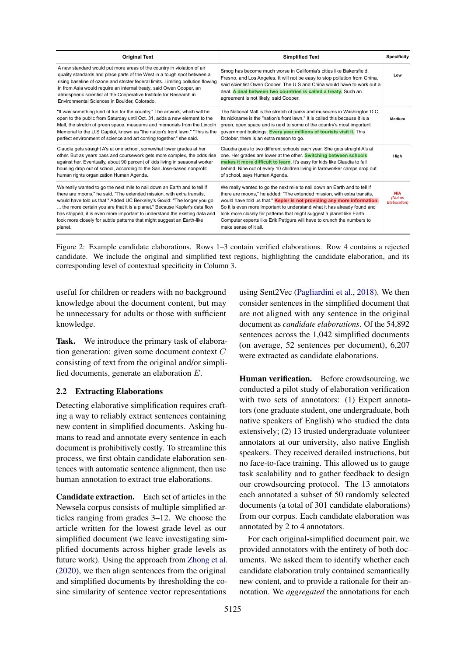<span id="page-2-1"></span>

| <b>Original Text</b>                                                                                                                                                                                                                                                                                                                                                                                                                                                           | <b>Simplified Text</b>                                                                                                                                                                                                                                                                                                                                                                                                                                                                   | <b>Specificity</b>             |
|--------------------------------------------------------------------------------------------------------------------------------------------------------------------------------------------------------------------------------------------------------------------------------------------------------------------------------------------------------------------------------------------------------------------------------------------------------------------------------|------------------------------------------------------------------------------------------------------------------------------------------------------------------------------------------------------------------------------------------------------------------------------------------------------------------------------------------------------------------------------------------------------------------------------------------------------------------------------------------|--------------------------------|
| A new standard would put more areas of the country in violation of air<br>quality standards and place parts of the West in a tough spot between a<br>rising baseline of ozone and stricter federal limits. Limiting pollution flowing<br>in from Asia would require an internal treaty, said Owen Cooper, an<br>atmospheric scientist at the Cooperative Institute for Research in<br>Environmental Sciences in Boulder, Colorado.                                             | Smog has become much worse in California's cities like Bakersfield,<br>Fresno, and Los Angeles. It will not be easy to stop pollution from China,<br>said scientist Owen Cooper. The U.S and China would have to work out a<br>deal. A deal between two countries is called a treaty. Such an<br>agreement is not likely, said Cooper.                                                                                                                                                   | Low                            |
| "It was something kind of fun for the country." The artwork, which will be<br>open to the public from Saturday until Oct. 31, adds a new element to the<br>Mall, the stretch of green space, museums and memorials from the Lincoln<br>Memorial to the U.S Capitol, known as "the nation's front lawn." "This is the<br>perfect environment of science and art coming together," she said.                                                                                     | The National Mall is the stretch of parks and museums in Washington D.C.<br>Its nickname is the "nation's front lawn." It is called this because it is a<br>green, open space and is next to some of the country's most important<br>government buildings. Every year millions of tourists visit it. This<br>October, there is an extra reason to go.                                                                                                                                    | Medium                         |
| Claudia gets straight A's at one school, somewhat lower grades at her<br>other. But as years pass and coursework gets more complex, the odds rise<br>against her. Eventually, about 90 percent of kids living in seasonal worker<br>housing drop out of school, according to the San Jose-based nonprofit<br>human rights organization Human Agenda.                                                                                                                           | Claudia goes to two different schools each year. She gets straight A's at<br>one. Her grades are lower at the other. Switching between schools<br>makes it more difficult to learn. It's easy for kids like Claudia to fall<br>behind. Nine out of every 10 children living in farmworker camps drop out<br>of school, says Human Agenda.                                                                                                                                                | High                           |
| We really wanted to go the next mile to nail down an Earth and to tell if<br>there are moons," he said. "The extended mission, with extra transits,<br>would have told us that." Added UC Berkeley's Gould: "The longer you go<br>the more certain you are that it is a planet." Because Kepler's data flow<br>has stopped, it is even more important to understand the existing data and<br>look more closely for subtle patterns that might suggest an Earth-like<br>planet. | We really wanted to go the next mile to nail down an Earth and to tell if<br>there are moons," he added. "The extended mission, with extra transits,<br>would have told us that." Kepler is not providing any more information.<br>So it is even more important to understand what it has already found and<br>look more closely for patterns that might suggest a planet like Earth.<br>Computer experts like Erik Petigura will have to crunch the numbers to<br>make sense of it all. | N/A<br>(Not an<br>Elaboration) |

Figure 2: Example candidate elaborations. Rows 1–3 contain verified elaborations. Row 4 contains a rejected candidate. We include the original and simplified text regions, highlighting the candidate elaboration, and its corresponding level of contextual specificity in Column 3.

useful for children or readers with no background knowledge about the document content, but may be unnecessary for adults or those with sufficient knowledge.

Task. We introduce the primary task of elaboration generation: given some document context C consisting of text from the original and/or simplified documents, generate an elaboration E.

### <span id="page-2-0"></span>2.2 Extracting Elaborations

Detecting elaborative simplification requires crafting a way to reliably extract sentences containing new content in simplified documents. Asking humans to read and annotate every sentence in each document is prohibitively costly. To streamline this process, we first obtain candidate elaboration sentences with automatic sentence alignment, then use human annotation to extract true elaborations.

Candidate extraction. Each set of articles in the Newsela corpus consists of multiple simplified articles ranging from grades 3–12. We choose the article written for the lowest grade level as our simplified document (we leave investigating simplified documents across higher grade levels as future work). Using the approach from [Zhong et al.](#page-11-4) [\(2020\)](#page-11-4), we then align sentences from the original and simplified documents by thresholding the cosine similarity of sentence vector representations

using Sent2Vec [\(Pagliardini et al.,](#page-10-10) [2018\)](#page-10-10). We then consider sentences in the simplified document that are not aligned with any sentence in the original document as *candidate elaborations*. Of the 54,892 sentences across the 1,042 simplified documents (on average, 52 sentences per document), 6,207 were extracted as candidate elaborations.

Human verification. Before crowdsourcing, we conducted a pilot study of elaboration verification with two sets of annotators: (1) Expert annotators (one graduate student, one undergraduate, both native speakers of English) who studied the data extensively; (2) 13 trusted undergraduate volunteer annotators at our university, also native English speakers. They received detailed instructions, but no face-to-face training. This allowed us to gauge task scalability and to gather feedback to design our crowdsourcing protocol. The 13 annotators each annotated a subset of 50 randomly selected documents (a total of 301 candidate elaborations) from our corpus. Each candidate elaboration was annotated by 2 to 4 annotators.

For each original-simplified document pair, we provided annotators with the entirety of both documents. We asked them to identify whether each candidate elaboration truly contained semantically new content, and to provide a rationale for their annotation. We *aggregated* the annotations for each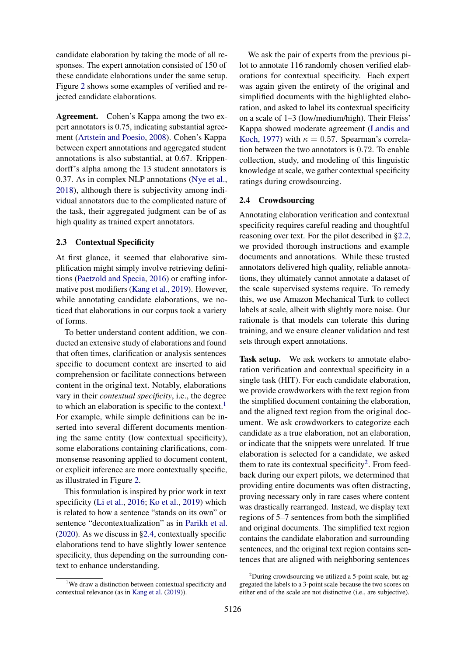candidate elaboration by taking the mode of all responses. The expert annotation consisted of 150 of these candidate elaborations under the same setup. Figure [2](#page-2-1) shows some examples of verified and rejected candidate elaborations.

Agreement. Cohen's Kappa among the two expert annotators is 0.75, indicating substantial agreement [\(Artstein and Poesio,](#page-8-4) [2008\)](#page-8-4). Cohen's Kappa between expert annotations and aggregated student annotations is also substantial, at 0.67. Krippendorff's alpha among the 13 student annotators is 0.37. As in complex NLP annotations [\(Nye et al.,](#page-10-11) [2018\)](#page-10-11), although there is subjectivity among individual annotators due to the complicated nature of the task, their aggregated judgment can be of as high quality as trained expert annotators.

### <span id="page-3-0"></span>2.3 Contextual Specificity

At first glance, it seemed that elaborative simplification might simply involve retrieving definitions [\(Paetzold and Specia,](#page-10-9) [2016\)](#page-10-9) or crafting informative post modifiers [\(Kang et al.,](#page-9-4) [2019\)](#page-9-4). However, while annotating candidate elaborations, we noticed that elaborations in our corpus took a variety of forms.

To better understand content addition, we conducted an extensive study of elaborations and found that often times, clarification or analysis sentences specific to document context are inserted to aid comprehension or facilitate connections between content in the original text. Notably, elaborations vary in their *contextual specificity*, i.e., the degree to which an elaboration is specific to the context.<sup>[1](#page-3-2)</sup> For example, while simple definitions can be inserted into several different documents mentioning the same entity (low contextual specificity), some elaborations containing clarifications, commonsense reasoning applied to document content, or explicit inference are more contextually specific, as illustrated in Figure [2.](#page-2-1)

This formulation is inspired by prior work in text specificity [\(Li et al.,](#page-9-5) [2016;](#page-9-5) [Ko et al.,](#page-9-6) [2019\)](#page-9-6) which is related to how a sentence "stands on its own" or sentence "decontextualization" as in [Parikh et al.](#page-10-12) [\(2020\)](#page-10-12). As we discuss in [§2.4,](#page-3-1) contextually specific elaborations tend to have slightly lower sentence specificity, thus depending on the surrounding context to enhance understanding.

We ask the pair of experts from the previous pilot to annotate 116 randomly chosen verified elaborations for contextual specificity. Each expert was again given the entirety of the original and simplified documents with the highlighted elaboration, and asked to label its contextual specificity on a scale of 1–3 (low/medium/high). Their Fleiss' Kappa showed moderate agreement [\(Landis and](#page-9-7) [Koch,](#page-9-7) [1977\)](#page-9-7) with  $\kappa = 0.57$ . Spearman's correlation between the two annotators is 0.72. To enable collection, study, and modeling of this linguistic knowledge at scale, we gather contextual specificity ratings during crowdsourcing.

### <span id="page-3-1"></span>2.4 Crowdsourcing

Annotating elaboration verification and contextual specificity requires careful reading and thoughtful reasoning over text. For the pilot described in [§2.2,](#page-2-0) we provided thorough instructions and example documents and annotations. While these trusted annotators delivered high quality, reliable annotations, they ultimately cannot annotate a dataset of the scale supervised systems require. To remedy this, we use Amazon Mechanical Turk to collect labels at scale, albeit with slightly more noise. Our rationale is that models can tolerate this during training, and we ensure cleaner validation and test sets through expert annotations.

Task setup. We ask workers to annotate elaboration verification and contextual specificity in a single task (HIT). For each candidate elaboration, we provide crowdworkers with the text region from the simplified document containing the elaboration, and the aligned text region from the original document. We ask crowdworkers to categorize each candidate as a true elaboration, not an elaboration, or indicate that the snippets were unrelated. If true elaboration is selected for a candidate, we asked them to rate its contextual specificity<sup>[2](#page-3-3)</sup>. From feedback during our expert pilots, we determined that providing entire documents was often distracting, proving necessary only in rare cases where content was drastically rearranged. Instead, we display text regions of 5–7 sentences from both the simplified and original documents. The simplified text region contains the candidate elaboration and surrounding sentences, and the original text region contains sentences that are aligned with neighboring sentences

<span id="page-3-2"></span><sup>&</sup>lt;sup>1</sup>We draw a distinction between contextual specificity and contextual relevance (as in [Kang et al.](#page-9-4) [\(2019\)](#page-9-4)).

<span id="page-3-3"></span> $2$ During crowdsourcing we utilized a 5-point scale, but aggregated the labels to a 3-point scale because the two scores on either end of the scale are not distinctive (i.e., are subjective).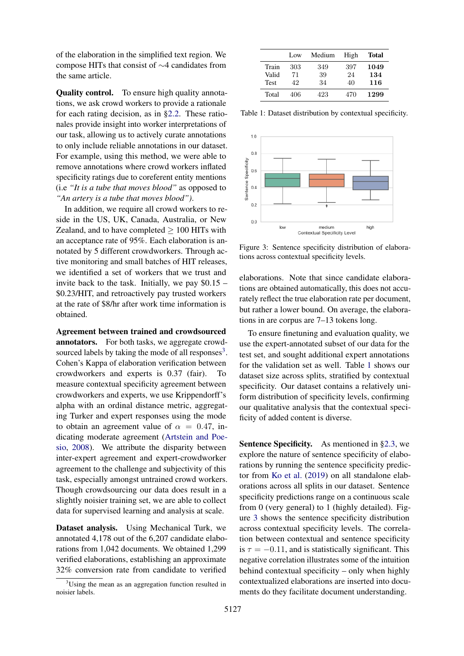of the elaboration in the simplified text region. We compose HITs that consist of ∼4 candidates from the same article.

Quality control. To ensure high quality annotations, we ask crowd workers to provide a rationale for each rating decision, as in [§2.2.](#page-2-0) These rationales provide insight into worker interpretations of our task, allowing us to actively curate annotations to only include reliable annotations in our dataset. For example, using this method, we were able to remove annotations where crowd workers inflated specificity ratings due to coreferent entity mentions (i.e *"It is a tube that moves blood"* as opposed to *"An artery is a tube that moves blood")*.

In addition, we require all crowd workers to reside in the US, UK, Canada, Australia, or New Zealand, and to have completed  $\geq 100$  HITs with an acceptance rate of 95%. Each elaboration is annotated by 5 different crowdworkers. Through active monitoring and small batches of HIT releases, we identified a set of workers that we trust and invite back to the task. Initially, we pay  $$0.15$  – \$0.23/HIT, and retroactively pay trusted workers at the rate of \$8/hr after work time information is obtained.

Agreement between trained and crowdsourced annotators. For both tasks, we aggregate crowdsourced labels by taking the mode of all responses $3$ . Cohen's Kappa of elaboration verification between crowdworkers and experts is 0.37 (fair). To measure contextual specificity agreement between crowdworkers and experts, we use Krippendorff's alpha with an ordinal distance metric, aggregating Turker and expert responses using the mode to obtain an agreement value of  $\alpha = 0.47$ , indicating moderate agreement [\(Artstein and Poe](#page-8-4)[sio,](#page-8-4) [2008\)](#page-8-4). We attribute the disparity between inter-expert agreement and expert-crowdworker agreement to the challenge and subjectivity of this task, especially amongst untrained crowd workers. Though crowdsourcing our data does result in a slightly noisier training set, we are able to collect data for supervised learning and analysis at scale.

Dataset analysis. Using Mechanical Turk, we annotated 4,178 out of the 6,207 candidate elaborations from 1,042 documents. We obtained 1,299 verified elaborations, establishing an approximate 32% conversion rate from candidate to verified

<span id="page-4-1"></span>

|             | Low | Medium | High | Total |
|-------------|-----|--------|------|-------|
| Train       | 303 | 349    | 397  | 1049  |
| Valid       | 71  | 39     | 24   | 134   |
| <b>Test</b> | 42  | 34     | 40   | 116   |
| Total       | 406 | 423    | 470  | 1299  |

<span id="page-4-2"></span>Table 1: Dataset distribution by contextual specificity.



Figure 3: Sentence specificity distribution of elaborations across contextual specificity levels.

elaborations. Note that since candidate elaborations are obtained automatically, this does not accurately reflect the true elaboration rate per document, but rather a lower bound. On average, the elaborations in are corpus are 7–13 tokens long.

To ensure finetuning and evaluation quality, we use the expert-annotated subset of our data for the test set, and sought additional expert annotations for the validation set as well. Table [1](#page-4-1) shows our dataset size across splits, stratified by contextual specificity. Our dataset contains a relatively uniform distribution of specificity levels, confirming our qualitative analysis that the contextual specificity of added content is diverse.

Sentence Specificity. As mentioned in [§2.3,](#page-3-0) we explore the nature of sentence specificity of elaborations by running the sentence specificity predictor from [Ko et al.](#page-9-6) [\(2019\)](#page-9-6) on all standalone elaborations across all splits in our dataset. Sentence specificity predictions range on a continuous scale from 0 (very general) to 1 (highly detailed). Figure [3](#page-4-2) shows the sentence specificity distribution across contextual specificity levels. The correlation between contextual and sentence specificity is  $\tau = -0.11$ , and is statistically significant. This negative correlation illustrates some of the intuition behind contextual specificity – only when highly contextualized elaborations are inserted into documents do they facilitate document understanding.

<span id="page-4-0"></span> $3^3$ Using the mean as an aggregation function resulted in noisier labels.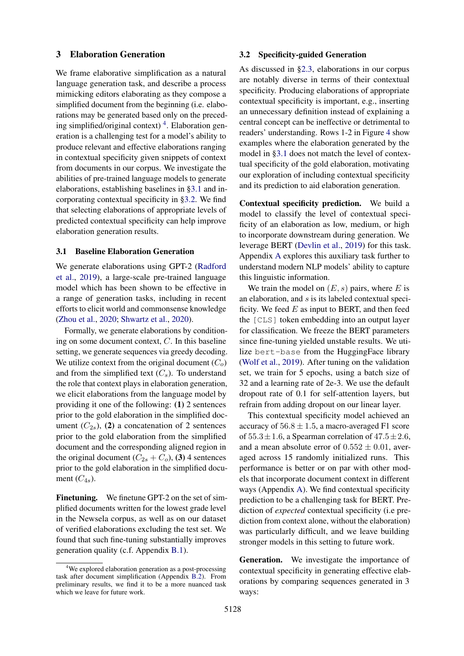### <span id="page-5-3"></span>3 Elaboration Generation

We frame elaborative simplification as a natural language generation task, and describe a process mimicking editors elaborating as they compose a simplified document from the beginning (i.e. elaborations may be generated based only on the preced-ing simplified/original context)<sup>[4](#page-5-0)</sup>. Elaboration generation is a challenging test for a model's ability to produce relevant and effective elaborations ranging in contextual specificity given snippets of context from documents in our corpus. We investigate the abilities of pre-trained language models to generate elaborations, establishing baselines in [§3.1](#page-5-1) and incorporating contextual specificity in [§3.2.](#page-5-2) We find that selecting elaborations of appropriate levels of predicted contextual specificity can help improve elaboration generation results.

### <span id="page-5-1"></span>3.1 Baseline Elaboration Generation

We generate elaborations using GPT-2 [\(Radford](#page-10-8) [et al.,](#page-10-8) [2019\)](#page-10-8), a large-scale pre-trained language model which has been shown to be effective in a range of generation tasks, including in recent efforts to elicit world and commonsense knowledge [\(Zhou et al.,](#page-11-5) [2020;](#page-11-5) [Shwartz et al.,](#page-10-13) [2020\)](#page-10-13).

Formally, we generate elaborations by conditioning on some document context, C. In this baseline setting, we generate sequences via greedy decoding. We utilize context from the original document  $(C<sub>o</sub>)$ and from the simplified text  $(C_s)$ . To understand the role that context plays in elaboration generation, we elicit elaborations from the language model by providing it one of the following: (1) 2 sentences prior to the gold elaboration in the simplified document  $(C_{2s})$ , (2) a concatenation of 2 sentences prior to the gold elaboration from the simplified document and the corresponding aligned region in the original document  $(C_{2s} + C_o)$ , (3) 4 sentences prior to the gold elaboration in the simplified document  $(C_{4s})$ .

Finetuning. We finetune GPT-2 on the set of simplified documents written for the lowest grade level in the Newsela corpus, as well as on our dataset of verified elaborations excluding the test set. We found that such fine-tuning substantially improves generation quality (c.f. Appendix [B.1\)](#page-13-0).

### <span id="page-5-2"></span>3.2 Specificity-guided Generation

As discussed in [§2.3,](#page-3-0) elaborations in our corpus are notably diverse in terms of their contextual specificity. Producing elaborations of appropriate contextual specificity is important, e.g., inserting an unnecessary definition instead of explaining a central concept can be ineffective or detrimental to readers' understanding. Rows 1-2 in Figure [4](#page-7-0) show examples where the elaboration generated by the model in [§3.1](#page-5-1) does not match the level of contextual specificity of the gold elaboration, motivating our exploration of including contextual specificity and its prediction to aid elaboration generation.

Contextual specificity prediction. We build a model to classify the level of contextual specificity of an elaboration as low, medium, or high to incorporate downstream during generation. We leverage BERT [\(Devlin et al.,](#page-9-8) [2019\)](#page-9-8) for this task. Appendix [A](#page-12-0) explores this auxiliary task further to understand modern NLP models' ability to capture this linguistic information.

We train the model on  $(E, s)$  pairs, where E is an elaboration, and s is its labeled contextual specificity. We feed  $E$  as input to BERT, and then feed the [CLS] token embedding into an output layer for classification. We freeze the BERT parameters since fine-tuning yielded unstable results. We utilize bert-base from the HuggingFace library [\(Wolf et al.,](#page-11-6) [2019\)](#page-11-6). After tuning on the validation set, we train for 5 epochs, using a batch size of 32 and a learning rate of 2e-3. We use the default dropout rate of 0.1 for self-attention layers, but refrain from adding dropout on our linear layer.

This contextual specificity model achieved an accuracy of  $56.8 \pm 1.5$ , a macro-averaged F1 score of  $55.3 \pm 1.6$ , a Spearman correlation of  $47.5 \pm 2.6$ , and a mean absolute error of  $0.552 \pm 0.01$ , averaged across 15 randomly initialized runs. This performance is better or on par with other models that incorporate document context in different ways (Appendix [A\)](#page-12-0). We find contextual specificity prediction to be a challenging task for BERT. Prediction of *expected* contextual specificity (i.e prediction from context alone, without the elaboration) was particularly difficult, and we leave building stronger models in this setting to future work.

Generation. We investigate the importance of contextual specificity in generating effective elaborations by comparing sequences generated in 3 ways:

<span id="page-5-0"></span><sup>&</sup>lt;sup>4</sup>We explored elaboration generation as a post-processing task after document simplification (Appendix [B.2\)](#page-13-1). From preliminary results, we find it to be a more nuanced task which we leave for future work.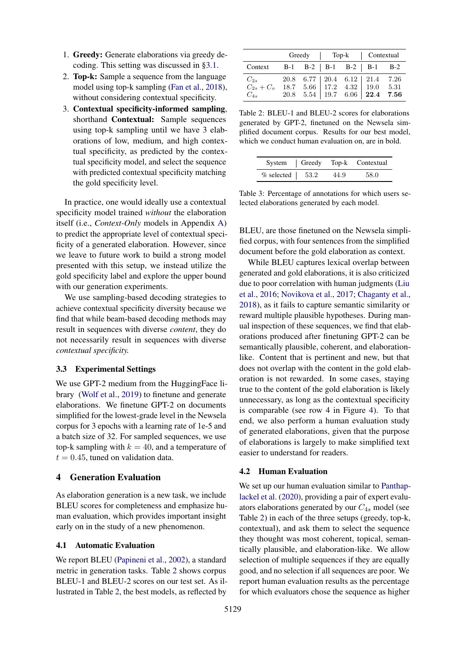- 1. Greedy: Generate elaborations via greedy decoding. This setting was discussed in [§3.1.](#page-5-1)
- 2. Top-k: Sample a sequence from the language model using top-k sampling [\(Fan et al.,](#page-9-9) [2018\)](#page-9-9), without considering contextual specificity.
- 3. Contextual specificity-informed sampling, shorthand Contextual: Sample sequences using top-k sampling until we have 3 elaborations of low, medium, and high contextual specificity, as predicted by the contextual specificity model, and select the sequence with predicted contextual specificity matching the gold specificity level.

In practice, one would ideally use a contextual specificity model trained *without* the elaboration itself (i.e., *Context-Only* models in Appendix [A\)](#page-12-0) to predict the appropriate level of contextual specificity of a generated elaboration. However, since we leave to future work to build a strong model presented with this setup, we instead utilize the gold specificity label and explore the upper bound with our generation experiments.

We use sampling-based decoding strategies to achieve contextual specificity diversity because we find that while beam-based decoding methods may result in sequences with diverse *content*, they do not necessarily result in sequences with diverse *contextual specificity.*

### 3.3 Experimental Settings

We use GPT-2 medium from the HuggingFace library [\(Wolf et al.,](#page-11-6) [2019\)](#page-11-6) to finetune and generate elaborations. We finetune GPT-2 on documents simplified for the lowest-grade level in the Newsela corpus for 3 epochs with a learning rate of 1e-5 and a batch size of 32. For sampled sequences, we use top-k sampling with  $k = 40$ , and a temperature of  $t = 0.45$ , tuned on validation data.

### 4 Generation Evaluation

As elaboration generation is a new task, we include BLEU scores for completeness and emphasize human evaluation, which provides important insight early on in the study of a new phenomenon.

#### <span id="page-6-2"></span>4.1 Automatic Evaluation

We report BLEU [\(Papineni et al.,](#page-10-14) [2002\)](#page-10-14), a standard metric in generation tasks. Table [2](#page-6-0) shows corpus BLEU-1 and BLEU-2 scores on our test set. As illustrated in Table [2,](#page-6-0) the best models, as reflected by

<span id="page-6-0"></span>

|                                                                                                                                                                                                                 |  |  | Greedy   Top-k   Contextual |  |
|-----------------------------------------------------------------------------------------------------------------------------------------------------------------------------------------------------------------|--|--|-----------------------------|--|
| Context B-1 B-2   B-1 B-2   B-1 B-2                                                                                                                                                                             |  |  |                             |  |
| $\begin{array}{ccc} C_{2s} & 20.8 & 6.77 & 20.4 & 6.12 & 21.4 & 7.26 \\ C_{2s}+C_o & 18.7 & 5.66 & 17.2 & 4.32 & 19.0 & 5.31 \\ C_{4s} & 20.8 & 5.54 & 19.7 & 6.06 & \textbf{22.4} & \textbf{7.56} \end{array}$ |  |  |                             |  |

Table 2: BLEU-1 and BLEU-2 scores for elaborations generated by GPT-2, finetuned on the Newsela simplified document corpus. Results for our best model, which we conduct human evaluation on, are in bold.

<span id="page-6-1"></span>

|                       |      | System Greedy Top-k Contextual |
|-----------------------|------|--------------------------------|
| $%$ selected $ $ 53.2 | 44.9 | 58.0                           |

Table 3: Percentage of annotations for which users selected elaborations generated by each model.

BLEU, are those finetuned on the Newsela simplified corpus, with four sentences from the simplified document before the gold elaboration as context.

While BLEU captures lexical overlap between generated and gold elaborations, it is also criticized due to poor correlation with human judgments [\(Liu](#page-9-10) [et al.,](#page-9-10) [2016;](#page-9-10) [Novikova et al.,](#page-10-15) [2017;](#page-10-15) [Chaganty et al.,](#page-8-5) [2018\)](#page-8-5), as it fails to capture semantic similarity or reward multiple plausible hypotheses. During manual inspection of these sequences, we find that elaborations produced after finetuning GPT-2 can be semantically plausible, coherent, and elaborationlike. Content that is pertinent and new, but that does not overlap with the content in the gold elaboration is not rewarded. In some cases, staying true to the content of the gold elaboration is likely unnecessary, as long as the contextual specificity is comparable (see row 4 in Figure [4\)](#page-7-0). To that end, we also perform a human evaluation study of generated elaborations, given that the purpose of elaborations is largely to make simplified text easier to understand for readers.

#### 4.2 Human Evaluation

We set up our human evaluation similar to [Panthap](#page-10-16)[lackel et al.](#page-10-16) [\(2020\)](#page-10-16), providing a pair of expert evaluators elaborations generated by our  $C_{4s}$  model (see Table [2\)](#page-6-0) in each of the three setups (greedy, top-k, contextual), and ask them to select the sequence they thought was most coherent, topical, semantically plausible, and elaboration-like. We allow selection of multiple sequences if they are equally good, and no selection if all sequences are poor. We report human evaluation results as the percentage for which evaluators chose the sequence as higher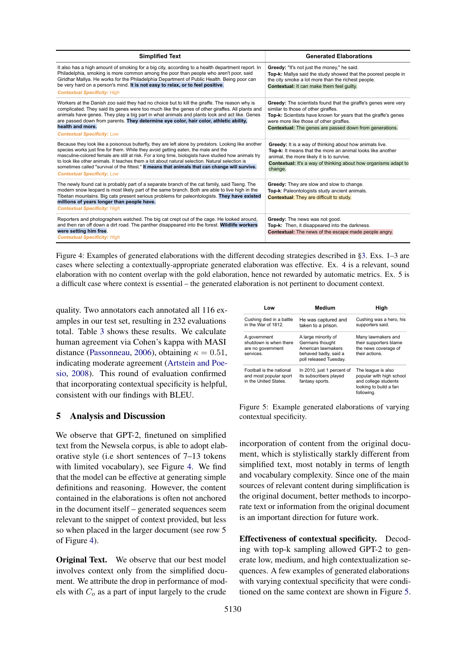<span id="page-7-0"></span>

| <b>Simplified Text</b>                                                                                                                                                                                                                                                                                                                                                                                                                                                                                                                         | <b>Generated Elaborations</b>                                                                                                                                                                                                                                                                 |
|------------------------------------------------------------------------------------------------------------------------------------------------------------------------------------------------------------------------------------------------------------------------------------------------------------------------------------------------------------------------------------------------------------------------------------------------------------------------------------------------------------------------------------------------|-----------------------------------------------------------------------------------------------------------------------------------------------------------------------------------------------------------------------------------------------------------------------------------------------|
| It also has a high amount of smoking for a big city, according to a health department report. In<br>Philadelphia, smoking is more common among the poor than people who aren't poor, said<br>Giridhar Mallya. He works for the Philadelphia Department of Public Health. Being poor can<br>be very hard on a person's mind. It is not easy to relax, or to feel positive.<br><b>Contextual Specificity: High</b>                                                                                                                               | Greedy: "It's not just the money," he said.<br>Top-k: Mallya said the study showed that the poorest people in<br>the city smoke a lot more than the richest people.<br>Contextual: It can make them feel quilty.                                                                              |
| Workers at the Danish zoo said they had no choice but to kill the giraffe. The reason why is<br>complicated. They said its genes were too much like the genes of other giraffes. All plants and<br>animals have genes. They play a big part in what animals and plants look and act like. Genes<br>are passed down from parents. They determine eye color, hair color, athletic ability,<br>health and more.<br><b>Contextual Specificity: Low</b>                                                                                             | <b>Greedy:</b> The scientists found that the giraffe's genes were very<br>similar to those of other giraffes.<br>Top-k: Scientists have known for years that the giraffe's genes<br>were more like those of other giraffes.<br><b>Contextual:</b> The genes are passed down from generations. |
| Because they look like a poisonous butterfly, they are left alone by predators. Looking like another<br>species works just fine for them. While they avoid getting eaten, the male and the<br>masculine-colored female are still at risk. For a long time, biologists have studied how animals try<br>to look like other animals. It teaches them a lot about natural selection. Natural selection is<br>sometimes called "survival of the fittest." It means that animals that can change will survive.<br><b>Contextual Specificity: Low</b> | Greedy: It is a way of thinking about how animals live.<br>Top-k: It means that the more an animal looks like another<br>animal, the more likely it is to survive.<br>Contextual: It's a way of thinking about how organisms adapt to<br>change.                                              |
| The newly found cat is probably part of a separate branch of the cat family, said Tseng. The<br>modern snow leopard is most likely part of the same branch. Both are able to live high in the<br>Tibetan mountains. Big cats present serious problems for paleontologists. They have existed<br>millions of years longer than people have.<br><b>Contextual Specificity: High</b>                                                                                                                                                              | Greedy: They are slow and slow to change.<br>Top-k: Paleontologists study ancient animals.<br><b>Contextual:</b> They are difficult to study.                                                                                                                                                 |
| Reporters and photographers watched. The big cat crept out of the cage. He looked around,<br>and then ran off down a dirt road. The panther disappeared into the forest. Wildlife workers<br>were setting him free.<br><b>Contextual Specificity: High</b>                                                                                                                                                                                                                                                                                     | Greedy: The news was not good.<br>Top-k: Then, it disappeared into the darkness.<br>Contextual: The news of the escape made people angry.                                                                                                                                                     |

Figure 4: Examples of generated elaborations with the different decoding strategies described in [§3.](#page-5-3) Exs. 1–3 are cases where selecting a contextually-appropriate generated elaboration was effective. Ex. 4 is a relevant, sound elaboration with no content overlap with the gold elaboration, hence not rewarded by automatic metrics. Ex. 5 is a difficult case where context is essential – the generated elaboration is not pertinent to document context.

quality. Two annotators each annotated all 116 examples in our test set, resulting in 232 evaluations total. Table [3](#page-6-1) shows these results. We calculate human agreement via Cohen's kappa with MASI distance [\(Passonneau,](#page-10-17) [2006\)](#page-10-17), obtaining  $\kappa = 0.51$ , indicating moderate agreement [\(Artstein and Poe](#page-8-4)[sio,](#page-8-4) [2008\)](#page-8-4). This round of evaluation confirmed that incorporating contextual specificity is helpful, consistent with our findings with BLEU.

### 5 Analysis and Discussion

We observe that GPT-2, finetuned on simplified text from the Newsela corpus, is able to adopt elaborative style (i.e short sentences of 7–13 tokens with limited vocabulary), see Figure [4.](#page-7-0) We find that the model can be effective at generating simple definitions and reasoning. However, the content contained in the elaborations is often not anchored in the document itself – generated sequences seem relevant to the snippet of context provided, but less so when placed in the larger document (see row 5 of Figure [4\)](#page-7-0).

Original Text. We observe that our best model involves context only from the simplified document. We attribute the drop in performance of models with  $C<sub>o</sub>$  as a part of input largely to the crude

<span id="page-7-1"></span>

| Low                                                                         | Medium                                                                                                          | High                                                                                                           |  |
|-----------------------------------------------------------------------------|-----------------------------------------------------------------------------------------------------------------|----------------------------------------------------------------------------------------------------------------|--|
| Cushing died in a battle<br>in the War of 1812.                             | He was captured and<br>taken to a prison.                                                                       | Cushing was a hero, his<br>supporters said.                                                                    |  |
| A government<br>shutdown is when there<br>are no government<br>services.    | A large minority of<br>Germans thought<br>American lawmakers<br>behaved badly, said a<br>poll released Tuesday. | Many lawmakers and<br>their supporters blame<br>the news coverage of<br>their actions.                         |  |
| Football is the national<br>and most popular sport<br>in the United States. | In 2010, just 1 percent of<br>its subscribers played<br>fantasy sports.                                         | The league is also<br>popular with high school<br>and college students<br>looking to build a fan<br>following. |  |

Figure 5: Example generated elaborations of varying contextual specificity.

incorporation of content from the original document, which is stylistically starkly different from simplified text, most notably in terms of length and vocabulary complexity. Since one of the main sources of relevant content during simplification is the original document, better methods to incorporate text or information from the original document is an important direction for future work.

Effectiveness of contextual specificity. Decoding with top-k sampling allowed GPT-2 to generate low, medium, and high contextualization sequences. A few examples of generated elaborations with varying contextual specificity that were conditioned on the same context are shown in Figure [5.](#page-7-1)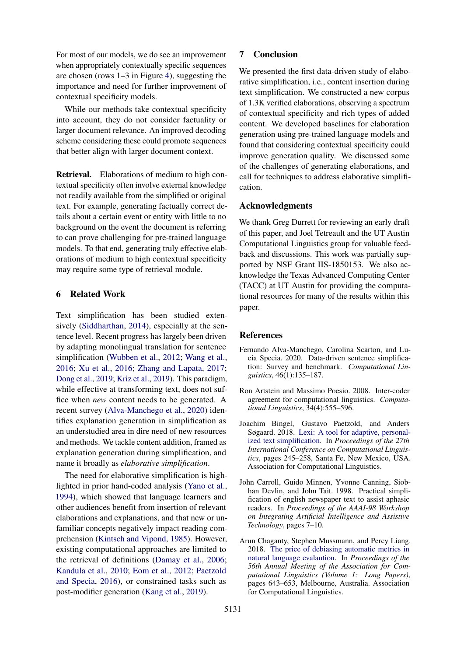For most of our models, we do see an improvement when appropriately contextually specific sequences are chosen (rows 1–3 in Figure [4\)](#page-7-0), suggesting the importance and need for further improvement of contextual specificity models.

While our methods take contextual specificity into account, they do not consider factuality or larger document relevance. An improved decoding scheme considering these could promote sequences that better align with larger document context.

Retrieval. Elaborations of medium to high contextual specificity often involve external knowledge not readily available from the simplified or original text. For example, generating factually correct details about a certain event or entity with little to no background on the event the document is referring to can prove challenging for pre-trained language models. To that end, generating truly effective elaborations of medium to high contextual specificity may require some type of retrieval module.

### <span id="page-8-2"></span>6 Related Work

Text simplification has been studied exten-sively [\(Siddharthan,](#page-10-0) [2014\)](#page-10-0), especially at the sentence level. Recent progress has largely been driven by adapting monolingual translation for sentence simplification [\(Wubben et al.,](#page-11-7) [2012;](#page-11-7) [Wang et al.,](#page-10-18) [2016;](#page-10-18) [Xu et al.,](#page-11-8) [2016;](#page-11-8) [Zhang and Lapata,](#page-11-9) [2017;](#page-11-9) [Dong et al.,](#page-9-11) [2019;](#page-9-11) [Kriz et al.,](#page-9-12) [2019\)](#page-9-12). This paradigm, while effective at transforming text, does not suffice when *new* content needs to be generated. A recent survey [\(Alva-Manchego et al.,](#page-8-1) [2020\)](#page-8-1) identifies explanation generation in simplification as an understudied area in dire need of new resources and methods. We tackle content addition, framed as explanation generation during simplification, and name it broadly as *elaborative simplification*.

The need for elaborative simplification is highlighted in prior hand-coded analysis [\(Yano et al.,](#page-11-0) [1994\)](#page-11-0), which showed that language learners and other audiences benefit from insertion of relevant elaborations and explanations, and that new or unfamiliar concepts negatively impact reading comprehension [\(Kintsch and Vipond,](#page-9-13) [1985\)](#page-9-13). However, existing computational approaches are limited to the retrieval of definitions [\(Damay et al.,](#page-9-14) [2006;](#page-9-14) [Kandula et al.,](#page-9-15) [2010;](#page-9-15) [Eom et al.,](#page-9-16) [2012;](#page-9-16) [Paetzold](#page-10-9) [and Specia,](#page-10-9) [2016\)](#page-10-9), or constrained tasks such as post-modifier generation [\(Kang et al.,](#page-9-4) [2019\)](#page-9-4).

### 7 Conclusion

We presented the first data-driven study of elaborative simplification, i.e., content insertion during text simplification. We constructed a new corpus of 1.3K verified elaborations, observing a spectrum of contextual specificity and rich types of added content. We developed baselines for elaboration generation using pre-trained language models and found that considering contextual specificity could improve generation quality. We discussed some of the challenges of generating elaborations, and call for techniques to address elaborative simplification.

### Acknowledgments

We thank Greg Durrett for reviewing an early draft of this paper, and Joel Tetreault and the UT Austin Computational Linguistics group for valuable feedback and discussions. This work was partially supported by NSF Grant IIS-1850153. We also acknowledge the Texas Advanced Computing Center (TACC) at UT Austin for providing the computational resources for many of the results within this paper.

### References

- <span id="page-8-1"></span>Fernando Alva-Manchego, Carolina Scarton, and Lucia Specia. 2020. Data-driven sentence simplification: Survey and benchmark. *Computational Linguistics*, 46(1):135–187.
- <span id="page-8-4"></span>Ron Artstein and Massimo Poesio. 2008. Inter-coder agreement for computational linguistics. *Computational Linguistics*, 34(4):555–596.
- <span id="page-8-3"></span>Joachim Bingel, Gustavo Paetzold, and Anders Søgaard. 2018. [Lexi: A tool for adaptive, personal](https://www.aclweb.org/anthology/C18-1021)[ized text simplification.](https://www.aclweb.org/anthology/C18-1021) In *Proceedings of the 27th International Conference on Computational Linguistics*, pages 245–258, Santa Fe, New Mexico, USA. Association for Computational Linguistics.
- <span id="page-8-0"></span>John Carroll, Guido Minnen, Yvonne Canning, Siobhan Devlin, and John Tait. 1998. Practical simplification of english newspaper text to assist aphasic readers. In *Proceedings of the AAAI-98 Workshop on Integrating Artificial Intelligence and Assistive Technology*, pages 7–10.
- <span id="page-8-5"></span>Arun Chaganty, Stephen Mussmann, and Percy Liang. 2018. [The price of debiasing automatic metrics in](https://doi.org/10.18653/v1/P18-1060) [natural language evalaution.](https://doi.org/10.18653/v1/P18-1060) In *Proceedings of the 56th Annual Meeting of the Association for Computational Linguistics (Volume 1: Long Papers)*, pages 643–653, Melbourne, Australia. Association for Computational Linguistics.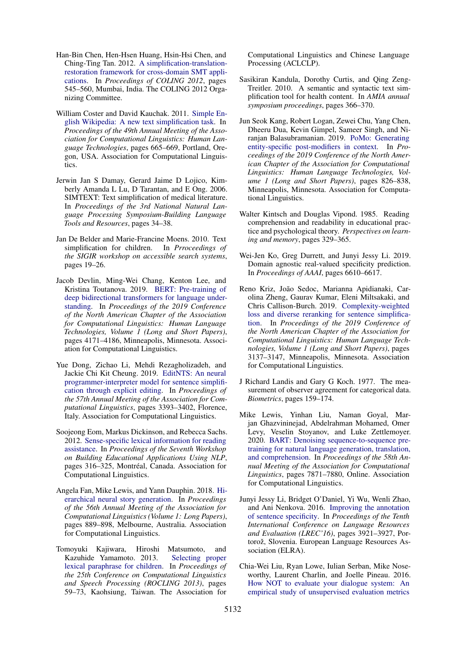- <span id="page-9-2"></span>Han-Bin Chen, Hen-Hsen Huang, Hsin-Hsi Chen, and Ching-Ting Tan. 2012. [A simplification-translation](https://www.aclweb.org/anthology/C12-1034)[restoration framework for cross-domain SMT appli](https://www.aclweb.org/anthology/C12-1034)[cations.](https://www.aclweb.org/anthology/C12-1034) In *Proceedings of COLING 2012*, pages 545–560, Mumbai, India. The COLING 2012 Organizing Committee.
- <span id="page-9-3"></span>William Coster and David Kauchak. 2011. [Simple En](https://www.aclweb.org/anthology/P11-2117)[glish Wikipedia: A new text simplification task.](https://www.aclweb.org/anthology/P11-2117) In *Proceedings of the 49th Annual Meeting of the Association for Computational Linguistics: Human Language Technologies*, pages 665–669, Portland, Oregon, USA. Association for Computational Linguistics.
- <span id="page-9-14"></span>Jerwin Jan S Damay, Gerard Jaime D Lojico, Kimberly Amanda L Lu, D Tarantan, and E Ong. 2006. SIMTEXT: Text simplification of medical literature. In *Proceedings of the 3rd National Natural Language Processing Symposium-Building Language Tools and Resources*, pages 34–38.
- <span id="page-9-0"></span>Jan De Belder and Marie-Francine Moens. 2010. Text simplification for children. In *Prroceedings of the SIGIR workshop on accessible search systems*, pages 19–26.
- <span id="page-9-8"></span>Jacob Devlin, Ming-Wei Chang, Kenton Lee, and Kristina Toutanova. 2019. [BERT: Pre-training of](https://doi.org/10.18653/v1/N19-1423) [deep bidirectional transformers for language under](https://doi.org/10.18653/v1/N19-1423)[standing.](https://doi.org/10.18653/v1/N19-1423) In *Proceedings of the 2019 Conference of the North American Chapter of the Association for Computational Linguistics: Human Language Technologies, Volume 1 (Long and Short Papers)*, pages 4171–4186, Minneapolis, Minnesota. Association for Computational Linguistics.
- <span id="page-9-11"></span>Yue Dong, Zichao Li, Mehdi Rezagholizadeh, and Jackie Chi Kit Cheung. 2019. [EditNTS: An neural](https://doi.org/10.18653/v1/P19-1331) [programmer-interpreter model for sentence simplifi](https://doi.org/10.18653/v1/P19-1331)[cation through explicit editing.](https://doi.org/10.18653/v1/P19-1331) In *Proceedings of the 57th Annual Meeting of the Association for Computational Linguistics*, pages 3393–3402, Florence, Italy. Association for Computational Linguistics.
- <span id="page-9-16"></span>Soojeong Eom, Markus Dickinson, and Rebecca Sachs. 2012. [Sense-specific lexical information for reading](https://www.aclweb.org/anthology/W12-2038) [assistance.](https://www.aclweb.org/anthology/W12-2038) In *Proceedings of the Seventh Workshop on Building Educational Applications Using NLP*, pages 316-325, Montréal, Canada. Association for Computational Linguistics.
- <span id="page-9-9"></span>Angela Fan, Mike Lewis, and Yann Dauphin. 2018. [Hi](https://doi.org/10.18653/v1/P18-1082)[erarchical neural story generation.](https://doi.org/10.18653/v1/P18-1082) In *Proceedings of the 56th Annual Meeting of the Association for Computational Linguistics (Volume 1: Long Papers)*, pages 889–898, Melbourne, Australia. Association for Computational Linguistics.
- <span id="page-9-1"></span>Tomoyuki Kajiwara, Hiroshi Matsumoto, and Kazuhide Yamamoto. 2013. [Selecting proper](https://www.aclweb.org/anthology/O13-1007) [lexical paraphrase for children.](https://www.aclweb.org/anthology/O13-1007) In *Proceedings of the 25th Conference on Computational Linguistics and Speech Processing (ROCLING 2013)*, pages 59–73, Kaohsiung, Taiwan. The Association for

Computational Linguistics and Chinese Language Processing (ACLCLP).

- <span id="page-9-15"></span>Sasikiran Kandula, Dorothy Curtis, and Qing Zeng-Treitler. 2010. A semantic and syntactic text simplification tool for health content. In *AMIA annual symposium proceedings*, pages 366–370.
- <span id="page-9-4"></span>Jun Seok Kang, Robert Logan, Zewei Chu, Yang Chen, Dheeru Dua, Kevin Gimpel, Sameer Singh, and Niranjan Balasubramanian. 2019. [PoMo: Generating](https://doi.org/10.18653/v1/N19-1089) [entity-specific post-modifiers in context.](https://doi.org/10.18653/v1/N19-1089) In *Proceedings of the 2019 Conference of the North American Chapter of the Association for Computational Linguistics: Human Language Technologies, Volume 1 (Long and Short Papers)*, pages 826–838, Minneapolis, Minnesota. Association for Computational Linguistics.
- <span id="page-9-13"></span>Walter Kintsch and Douglas Vipond. 1985. Reading comprehension and readability in educational practice and psychological theory. *Perspectives on learning and memory*, pages 329–365.
- <span id="page-9-6"></span>Wei-Jen Ko, Greg Durrett, and Junyi Jessy Li. 2019. Domain agnostic real-valued specificity prediction. In *Proceedings of AAAI*, pages 6610–6617.
- <span id="page-9-12"></span>Reno Kriz, João Sedoc, Marianna Apidianaki, Carolina Zheng, Gaurav Kumar, Eleni Miltsakaki, and Chris Callison-Burch. 2019. [Complexity-weighted](https://doi.org/10.18653/v1/N19-1317) [loss and diverse reranking for sentence simplifica](https://doi.org/10.18653/v1/N19-1317)[tion.](https://doi.org/10.18653/v1/N19-1317) In *Proceedings of the 2019 Conference of the North American Chapter of the Association for Computational Linguistics: Human Language Technologies, Volume 1 (Long and Short Papers)*, pages 3137–3147, Minneapolis, Minnesota. Association for Computational Linguistics.
- <span id="page-9-7"></span>J Richard Landis and Gary G Koch. 1977. The measurement of observer agreement for categorical data. *Biometrics*, pages 159–174.
- <span id="page-9-17"></span>Mike Lewis, Yinhan Liu, Naman Goyal, Marjan Ghazvininejad, Abdelrahman Mohamed, Omer Levy, Veselin Stoyanov, and Luke Zettlemoyer. 2020. [BART: Denoising sequence-to-sequence pre](https://doi.org/10.18653/v1/2020.acl-main.703)[training for natural language generation, translation,](https://doi.org/10.18653/v1/2020.acl-main.703) [and comprehension.](https://doi.org/10.18653/v1/2020.acl-main.703) In *Proceedings of the 58th Annual Meeting of the Association for Computational Linguistics*, pages 7871–7880, Online. Association for Computational Linguistics.
- <span id="page-9-5"></span>Junyi Jessy Li, Bridget O'Daniel, Yi Wu, Wenli Zhao, and Ani Nenkova. 2016. [Improving the annotation](https://www.aclweb.org/anthology/L16-1620) [of sentence specificity.](https://www.aclweb.org/anthology/L16-1620) In *Proceedings of the Tenth International Conference on Language Resources and Evaluation (LREC'16)*, pages 3921–3927, Portorož, Slovenia. European Language Resources Association (ELRA).
- <span id="page-9-10"></span>Chia-Wei Liu, Ryan Lowe, Iulian Serban, Mike Noseworthy, Laurent Charlin, and Joelle Pineau. 2016. [How NOT to evaluate your dialogue system: An](https://doi.org/10.18653/v1/D16-1230) [empirical study of unsupervised evaluation metrics](https://doi.org/10.18653/v1/D16-1230)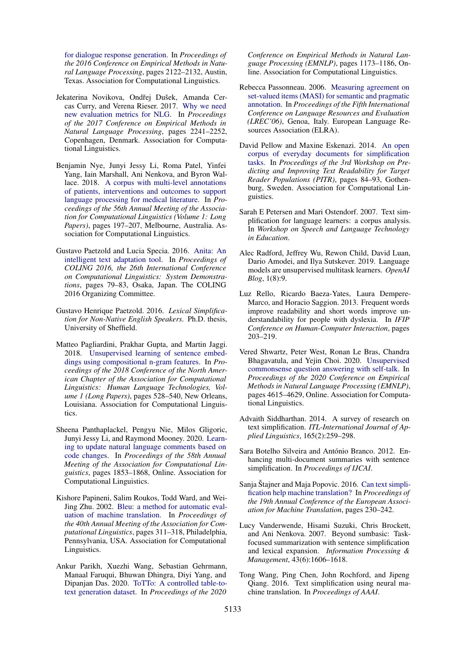[for dialogue response generation.](https://doi.org/10.18653/v1/D16-1230) In *Proceedings of the 2016 Conference on Empirical Methods in Natural Language Processing*, pages 2122–2132, Austin, Texas. Association for Computational Linguistics.

- <span id="page-10-15"></span>Jekaterina Novikova, Ondřej Dušek, Amanda Cercas Curry, and Verena Rieser. 2017. [Why we need](https://doi.org/10.18653/v1/D17-1238) [new evaluation metrics for NLG.](https://doi.org/10.18653/v1/D17-1238) In *Proceedings of the 2017 Conference on Empirical Methods in Natural Language Processing*, pages 2241–2252, Copenhagen, Denmark. Association for Computational Linguistics.
- <span id="page-10-11"></span>Benjamin Nye, Junyi Jessy Li, Roma Patel, Yinfei Yang, Iain Marshall, Ani Nenkova, and Byron Wallace. 2018. [A corpus with multi-level annotations](https://doi.org/10.18653/v1/P18-1019) [of patients, interventions and outcomes to support](https://doi.org/10.18653/v1/P18-1019) [language processing for medical literature.](https://doi.org/10.18653/v1/P18-1019) In *Proceedings of the 56th Annual Meeting of the Association for Computational Linguistics (Volume 1: Long Papers)*, pages 197–207, Melbourne, Australia. Association for Computational Linguistics.
- <span id="page-10-9"></span>Gustavo Paetzold and Lucia Specia. 2016. [Anita: An](https://www.aclweb.org/anthology/C16-2017) [intelligent text adaptation tool.](https://www.aclweb.org/anthology/C16-2017) In *Proceedings of COLING 2016, the 26th International Conference on Computational Linguistics: System Demonstrations*, pages 79–83, Osaka, Japan. The COLING 2016 Organizing Committee.
- <span id="page-10-3"></span>Gustavo Henrique Paetzold. 2016. *Lexical Simplification for Non-Native English Speakers*. Ph.D. thesis, University of Sheffield.
- <span id="page-10-10"></span>Matteo Pagliardini, Prakhar Gupta, and Martin Jaggi. 2018. [Unsupervised learning of sentence embed](https://doi.org/10.18653/v1/N18-1049)[dings using compositional n-gram features.](https://doi.org/10.18653/v1/N18-1049) In *Proceedings of the 2018 Conference of the North American Chapter of the Association for Computational Linguistics: Human Language Technologies, Volume 1 (Long Papers)*, pages 528–540, New Orleans, Louisiana. Association for Computational Linguistics.
- <span id="page-10-16"></span>Sheena Panthaplackel, Pengyu Nie, Milos Gligoric, Junyi Jessy Li, and Raymond Mooney. 2020. [Learn](https://doi.org/10.18653/v1/2020.acl-main.168)[ing to update natural language comments based on](https://doi.org/10.18653/v1/2020.acl-main.168) [code changes.](https://doi.org/10.18653/v1/2020.acl-main.168) In *Proceedings of the 58th Annual Meeting of the Association for Computational Linguistics*, pages 1853–1868, Online. Association for Computational Linguistics.
- <span id="page-10-14"></span>Kishore Papineni, Salim Roukos, Todd Ward, and Wei-Jing Zhu. 2002. [Bleu: a method for automatic eval](https://doi.org/10.3115/1073083.1073135)[uation of machine translation.](https://doi.org/10.3115/1073083.1073135) In *Proceedings of the 40th Annual Meeting of the Association for Computational Linguistics*, pages 311–318, Philadelphia, Pennsylvania, USA. Association for Computational Linguistics.
- <span id="page-10-12"></span>Ankur Parikh, Xuezhi Wang, Sebastian Gehrmann, Manaal Faruqui, Bhuwan Dhingra, Diyi Yang, and Dipanjan Das. 2020. [ToTTo: A controlled table-to](https://doi.org/10.18653/v1/2020.emnlp-main.89)[text generation dataset.](https://doi.org/10.18653/v1/2020.emnlp-main.89) In *Proceedings of the 2020*

*Conference on Empirical Methods in Natural Language Processing (EMNLP)*, pages 1173–1186, Online. Association for Computational Linguistics.

- <span id="page-10-17"></span>Rebecca Passonneau. 2006. [Measuring agreement on](http://www.lrec-conf.org/proceedings/lrec2006/pdf/636_pdf.pdf) [set-valued items \(MASI\) for semantic and pragmatic](http://www.lrec-conf.org/proceedings/lrec2006/pdf/636_pdf.pdf) [annotation.](http://www.lrec-conf.org/proceedings/lrec2006/pdf/636_pdf.pdf) In *Proceedings of the Fifth International Conference on Language Resources and Evaluation (LREC'06)*, Genoa, Italy. European Language Resources Association (ELRA).
- <span id="page-10-2"></span>David Pellow and Maxine Eskenazi. 2014. [An open](https://doi.org/10.3115/v1/W14-1210) [corpus of everyday documents for simplification](https://doi.org/10.3115/v1/W14-1210) [tasks.](https://doi.org/10.3115/v1/W14-1210) In *Proceedings of the 3rd Workshop on Predicting and Improving Text Readability for Target Reader Populations (PITR)*, pages 84–93, Gothenburg, Sweden. Association for Computational Linguistics.
- <span id="page-10-1"></span>Sarah E Petersen and Mari Ostendorf. 2007. Text simplification for language learners: a corpus analysis. In *Workshop on Speech and Language Technology in Education*.
- <span id="page-10-8"></span>Alec Radford, Jeffrey Wu, Rewon Child, David Luan, Dario Amodei, and Ilya Sutskever. 2019. Language models are unsupervised multitask learners. *OpenAI Blog*, 1(8):9.
- <span id="page-10-4"></span>Luz Rello, Ricardo Baeza-Yates, Laura Dempere-Marco, and Horacio Saggion. 2013. Frequent words improve readability and short words improve understandability for people with dyslexia. In *IFIP Conference on Human-Computer Interaction*, pages 203–219.
- <span id="page-10-13"></span>Vered Shwartz, Peter West, Ronan Le Bras, Chandra Bhagavatula, and Yejin Choi. 2020. [Unsupervised](https://doi.org/10.18653/v1/2020.emnlp-main.373) [commonsense question answering with self-talk.](https://doi.org/10.18653/v1/2020.emnlp-main.373) In *Proceedings of the 2020 Conference on Empirical Methods in Natural Language Processing (EMNLP)*, pages 4615–4629, Online. Association for Computational Linguistics.
- <span id="page-10-0"></span>Advaith Siddharthan. 2014. A survey of research on text simplification. *ITL-International Journal of Applied Linguistics*, 165(2):259–298.
- <span id="page-10-7"></span>Sara Botelho Silveira and António Branco. 2012. Enhancing multi-document summaries with sentence simplification. In *Proceedings of IJCAI*.
- <span id="page-10-5"></span>Sanja Štajner and Maja Popovic. 2016. [Can text simpli](https://www.aclweb.org/anthology/W16-3411)[fication help machine translation?](https://www.aclweb.org/anthology/W16-3411) In *Proceedings of the 19th Annual Conference of the European Association for Machine Translation*, pages 230–242.
- <span id="page-10-6"></span>Lucy Vanderwende, Hisami Suzuki, Chris Brockett, and Ani Nenkova. 2007. Beyond sumbasic: Taskfocused summarization with sentence simplification and lexical expansion. *Information Processing & Management*, 43(6):1606–1618.
- <span id="page-10-18"></span>Tong Wang, Ping Chen, John Rochford, and Jipeng Qiang. 2016. Text simplification using neural machine translation. In *Proceedings of AAAI*.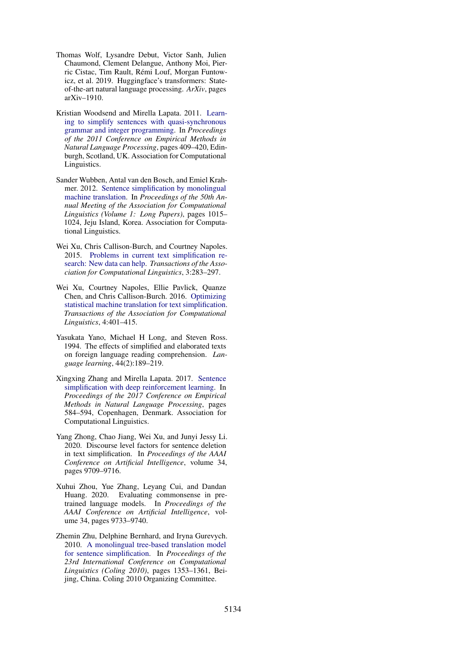- <span id="page-11-6"></span>Thomas Wolf, Lysandre Debut, Victor Sanh, Julien Chaumond, Clement Delangue, Anthony Moi, Pierric Cistac, Tim Rault, Remi Louf, Morgan Funtow- ´ icz, et al. 2019. Huggingface's transformers: Stateof-the-art natural language processing. *ArXiv*, pages arXiv–1910.
- <span id="page-11-2"></span>Kristian Woodsend and Mirella Lapata. 2011. [Learn](https://www.aclweb.org/anthology/D11-1038)[ing to simplify sentences with quasi-synchronous](https://www.aclweb.org/anthology/D11-1038) [grammar and integer programming.](https://www.aclweb.org/anthology/D11-1038) In *Proceedings of the 2011 Conference on Empirical Methods in Natural Language Processing*, pages 409–420, Edinburgh, Scotland, UK. Association for Computational Linguistics.
- <span id="page-11-7"></span>Sander Wubben, Antal van den Bosch, and Emiel Krahmer. 2012. [Sentence simplification by monolingual](https://www.aclweb.org/anthology/P12-1107) [machine translation.](https://www.aclweb.org/anthology/P12-1107) In *Proceedings of the 50th Annual Meeting of the Association for Computational Linguistics (Volume 1: Long Papers)*, pages 1015– 1024, Jeju Island, Korea. Association for Computational Linguistics.
- <span id="page-11-3"></span>Wei Xu, Chris Callison-Burch, and Courtney Napoles. 2015. [Problems in current text simplification re](https://doi.org/10.1162/tacl_a_00139)[search: New data can help.](https://doi.org/10.1162/tacl_a_00139) *Transactions of the Association for Computational Linguistics*, 3:283–297.
- <span id="page-11-8"></span>Wei Xu, Courtney Napoles, Ellie Pavlick, Quanze Chen, and Chris Callison-Burch. 2016. [Optimizing](https://doi.org/10.1162/tacl_a_00107) [statistical machine translation for text simplification.](https://doi.org/10.1162/tacl_a_00107) *Transactions of the Association for Computational Linguistics*, 4:401–415.
- <span id="page-11-0"></span>Yasukata Yano, Michael H Long, and Steven Ross. 1994. The effects of simplified and elaborated texts on foreign language reading comprehension. *Language learning*, 44(2):189–219.
- <span id="page-11-9"></span>Xingxing Zhang and Mirella Lapata. 2017. [Sentence](https://doi.org/10.18653/v1/D17-1062) [simplification with deep reinforcement learning.](https://doi.org/10.18653/v1/D17-1062) In *Proceedings of the 2017 Conference on Empirical Methods in Natural Language Processing*, pages 584–594, Copenhagen, Denmark. Association for Computational Linguistics.
- <span id="page-11-4"></span>Yang Zhong, Chao Jiang, Wei Xu, and Junyi Jessy Li. 2020. Discourse level factors for sentence deletion in text simplification. In *Proceedings of the AAAI Conference on Artificial Intelligence*, volume 34, pages 9709–9716.
- <span id="page-11-5"></span>Xuhui Zhou, Yue Zhang, Leyang Cui, and Dandan Huang. 2020. Evaluating commonsense in pretrained language models. In *Proceedings of the AAAI Conference on Artificial Intelligence*, volume 34, pages 9733–9740.
- <span id="page-11-1"></span>Zhemin Zhu, Delphine Bernhard, and Iryna Gurevych. 2010. [A monolingual tree-based translation model](https://www.aclweb.org/anthology/C10-1152) [for sentence simplification.](https://www.aclweb.org/anthology/C10-1152) In *Proceedings of the 23rd International Conference on Computational Linguistics (Coling 2010)*, pages 1353–1361, Beijing, China. Coling 2010 Organizing Committee.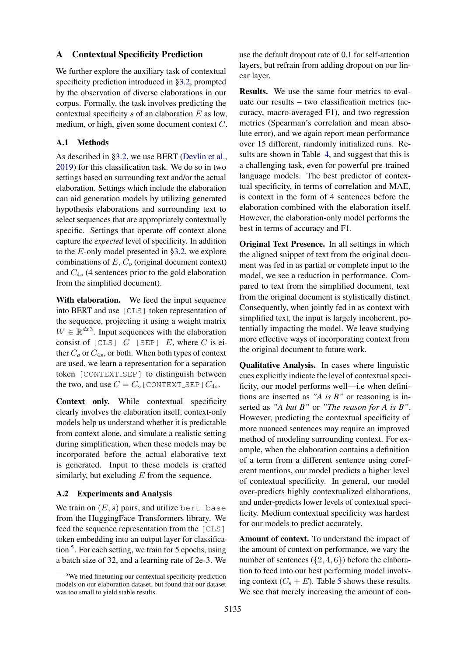### <span id="page-12-0"></span>A Contextual Specificity Prediction

We further explore the auxiliary task of contextual specificity prediction introduced in [§3.2,](#page-5-2) prompted by the observation of diverse elaborations in our corpus. Formally, the task involves predicting the contextual specificity  $s$  of an elaboration  $E$  as low, medium, or high, given some document context C.

# A.1 Methods

As described in [§3.2,](#page-5-2) we use BERT [\(Devlin et al.,](#page-9-8) [2019\)](#page-9-8) for this classification task. We do so in two settings based on surrounding text and/or the actual elaboration. Settings which include the elaboration can aid generation models by utilizing generated hypothesis elaborations and surrounding text to select sequences that are appropriately contextually specific. Settings that operate off context alone capture the *expected* level of specificity. In addition to the E-only model presented in [§3.2,](#page-5-2) we explore combinations of  $E, C<sub>o</sub>$  (original document context) and  $C_{4s}$  (4 sentences prior to the gold elaboration from the simplified document).

With elaboration. We feed the input sequence into BERT and use [CLS] token representation of the sequence, projecting it using a weight matrix  $W \in \mathbb{R}^{dx}$ <sup>3</sup>. Input sequences with the elaboration consist of [CLS]  $C$  [SEP]  $E$ , where  $C$  is either  $C_0$  or  $C_{4s}$ , or both. When both types of context are used, we learn a representation for a separation token [CONTEXT SEP] to distinguish between the two, and use  $C = C_0$  [CONTEXT\_SEP]  $C_{4s}$ .

Context only. While contextual specificity clearly involves the elaboration itself, context-only models help us understand whether it is predictable from context alone, and simulate a realistic setting during simplification, when these models may be incorporated before the actual elaborative text is generated. Input to these models is crafted similarly, but excluding  $E$  from the sequence.

#### A.2 Experiments and Analysis

We train on  $(E, s)$  pairs, and utilize bert-base from the HuggingFace Transformers library. We feed the sequence representation from the [CLS] token embedding into an output layer for classifica-tion <sup>[5](#page-12-1)</sup>. For each setting, we train for 5 epochs, using a batch size of 32, and a learning rate of 2e-3. We use the default dropout rate of 0.1 for self-attention layers, but refrain from adding dropout on our linear layer.

Results. We use the same four metrics to evaluate our results – two classification metrics (accuracy, macro-averaged F1), and two regression metrics (Spearman's correlation and mean absolute error), and we again report mean performance over 15 different, randomly initialized runs. Results are shown in Table [4,](#page-13-2) and suggest that this is a challenging task, even for powerful pre-trained language models. The best predictor of contextual specificity, in terms of correlation and MAE, is context in the form of 4 sentences before the elaboration combined with the elaboration itself. However, the elaboration-only model performs the best in terms of accuracy and F1.

Original Text Presence. In all settings in which the aligned snippet of text from the original document was fed in as partial or complete input to the model, we see a reduction in performance. Compared to text from the simplified document, text from the original document is stylistically distinct. Consequently, when jointly fed in as context with simplified text, the input is largely incoherent, potentially impacting the model. We leave studying more effective ways of incorporating context from the original document to future work.

Qualitative Analysis. In cases where linguistic cues explicitly indicate the level of contextual specificity, our model performs well—i.e when definitions are inserted as *"A is B"* or reasoning is inserted as *"A but B"* or *"The reason for A is B"*. However, predicting the contextual specificity of more nuanced sentences may require an improved method of modeling surrounding context. For example, when the elaboration contains a definition of a term from a different sentence using coreferent mentions, our model predicts a higher level of contextual specificity. In general, our model over-predicts highly contextualized elaborations, and under-predicts lower levels of contextual specificity. Medium contextual specificity was hardest for our models to predict accurately.

Amount of context. To understand the impact of the amount of context on performance, we vary the number of sentences  $({2, 4, 6})$  before the elaboration to feed into our best performing model involving context  $(C_s + E)$ . Table [5](#page-13-3) shows these results. We see that merely increasing the amount of con-

<span id="page-12-1"></span> $5$ We tried finetuning our contextual specificity prediction models on our elaboration dataset, but found that our dataset was too small to yield stable results.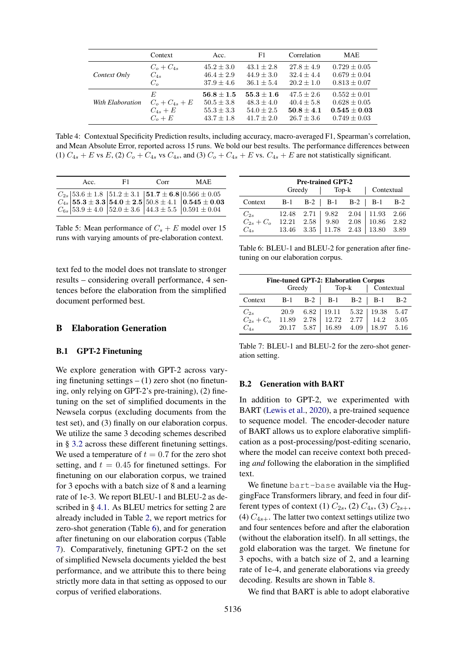<span id="page-13-2"></span>

|                  | Context            | Acc.           | F1.            | Correlation    | <b>MAE</b>       |
|------------------|--------------------|----------------|----------------|----------------|------------------|
| Context Only     | $C_o + C_{4s}$     | $45.2 \pm 3.0$ | $43.1 \pm 2.8$ | $27.8 + 4.9$   | $0.729 \pm 0.05$ |
|                  | $C_{4s}$           | $46.4 \pm 2.9$ | $44.9 \pm 3.0$ | $32.4 + 4.4$   | $0.679 \pm 0.04$ |
|                  | $C_{\alpha}$       | $37.9 \pm 4.6$ | $36.1 \pm 5.4$ | $20.2 + 1.0$   | $0.813 \pm 0.07$ |
| With Elaboration | E                  | $56.8 \pm 1.5$ | $55.3 + 1.6$   | $47.5 + 2.6$   | $0.552 \pm 0.01$ |
|                  | $C_0 + C_{4s} + E$ | $50.5 \pm 3.8$ | $48.3 \pm 4.0$ | $40.4 + 5.8$   | $0.628 \pm 0.05$ |
|                  | $C_{4s}+E$         | $55.3 \pm 3.3$ | $54.0 \pm 2.5$ | $50.8 \pm 4.1$ | $0.545 \pm 0.03$ |
|                  | $C_{\alpha}+E$     | $43.7 \pm 1.8$ | $41.7 + 2.0$   | $26.7 + 3.6$   | $0.749 \pm 0.03$ |

Table 4: Contextual Specificity Prediction results, including accuracy, macro-averaged F1, Spearman's correlation, and Mean Absolute Error, reported across 15 runs. We bold our best results. The performance differences between (1)  $C_{4s} + E$  vs E, (2)  $C_o + C_{4s}$  vs  $C_{4s}$ , and (3)  $C_o + C_{4s} + E$  vs.  $C_{4s} + E$  are not statistically significant.

<span id="page-13-3"></span>

| Acc. | F1. | Corr | <b>MAE</b>                                                                                                                                                                                                                                                                                                                         |
|------|-----|------|------------------------------------------------------------------------------------------------------------------------------------------------------------------------------------------------------------------------------------------------------------------------------------------------------------------------------------|
|      |     |      | $\begin{array}{c c c c c c} C_{2s} & 53.6 \pm 1.8 & 51.2 \pm 3.1 & \textbf{51.7} \pm \textbf{6.8} & 0.566 \pm 0.05 \\ C_{4s} & \textbf{55.3} \pm \textbf{3.3} & \textbf{54.0} \pm \textbf{2.5} & 50.8 \pm 4.1 & \textbf{0.545} \pm \textbf{0.03} \\ C_{6s} & 53.9 \pm 4.0 & 52.0 \pm 3.6 & 44.3 \pm 5.5 & 0.591 \pm 0.04 \\ \end{$ |

Table 5: Mean performance of  $C_s + E$  model over 15 runs with varying amounts of pre-elaboration context.

text fed to the model does not translate to stronger results – considering overall performance, 4 sentences before the elaboration from the simplified document performed best.

# B Elaboration Generation

#### <span id="page-13-0"></span>B.1 GPT-2 Finetuning

We explore generation with GPT-2 across varying finetuning settings  $- (1)$  zero shot (no finetuning, only relying on GPT-2's pre-training), (2) finetuning on the set of simplified documents in the Newsela corpus (excluding documents from the test set), and (3) finally on our elaboration corpus. We utilize the same 3 decoding schemes described in § [3.2](#page-5-2) across these different finetuning settings. We used a temperature of  $t = 0.7$  for the zero shot setting, and  $t = 0.45$  for finetuned settings. For finetuning on our elaboration corpus, we trained for 3 epochs with a batch size of 8 and a learning rate of 1e-3. We report BLEU-1 and BLEU-2 as described in § [4.1.](#page-6-2) As BLEU metrics for setting 2 are already included in Table [2,](#page-6-0) we report metrics for zero-shot generation (Table [6\)](#page-13-4), and for generation after finetuning on our elaboration corpus (Table [7\)](#page-13-5). Comparatively, finetuning GPT-2 on the set of simplified Newsela documents yielded the best performance, and we attribute this to there being strictly more data in that setting as opposed to our corpus of verified elaborations.

<span id="page-13-4"></span>

| <b>Pre-trained GPT-2</b><br>  Top-k   Contextual |  |        |  |  |                                                 |  |
|--------------------------------------------------|--|--------|--|--|-------------------------------------------------|--|
|                                                  |  | Greedy |  |  |                                                 |  |
| Context B-1 B-2   B-1 B-2   B-1 B-2              |  |        |  |  |                                                 |  |
| $C_{2s}$                                         |  |        |  |  | $12.48$ $2.71$   $9.82$ $2.04$   $11.93$ $2.66$ |  |
| $C_{2s} + C_o$ 12.21 2.58 9.80 2.08 10.86 2.82   |  |        |  |  |                                                 |  |
| $C_{4s}$                                         |  |        |  |  | $13.46$ $3.35$ $11.78$ $2.43$ $13.80$ $3.89$    |  |

Table 6: BLEU-1 and BLEU-2 for generation after finetuning on our elaboration corpus.

<span id="page-13-5"></span>

| <b>Fine-tuned GPT-2: Elaboration Corpus</b> |       |        |                                             |  |                                          |       |
|---------------------------------------------|-------|--------|---------------------------------------------|--|------------------------------------------|-------|
|                                             |       | Greedy | $\log k$                                    |  | $\vert$ Contextual                       |       |
| Context                                     |       |        | $B-1$ $B-2$   $B-1$ $B-2$   $B-1$           |  |                                          | $B-2$ |
| $C_{2s}$                                    | 20.9  | 6.82   |                                             |  | $19.11 \quad 5.32 \mid 19.38 \quad 5.47$ |       |
| $C_{2s}+C_o$                                |       |        | $11.89$ $2.78$ $12.72$ $2.77$ $14.2$ $3.05$ |  |                                          |       |
| $C_{4s}$                                    | 20.17 |        | $5.87$   16.89                              |  | $4.09$   18.97 5.16                      |       |

Table 7: BLEU-1 and BLEU-2 for the zero-shot generation setting.

#### <span id="page-13-1"></span>B.2 Generation with BART

In addition to GPT-2, we experimented with BART [\(Lewis et al.,](#page-9-17) [2020\)](#page-9-17), a pre-trained sequence to sequence model. The encoder-decoder nature of BART allows us to explore elaborative simplification as a post-processing/post-editing scenario, where the model can receive context both preceding *and* following the elaboration in the simplified text.

We finetune bart-base available via the HuggingFace Transformers library, and feed in four different types of context (1)  $C_{2s}$ , (2)  $C_{4s}$ , (3)  $C_{2s+}$ , (4)  $C_{4s+}$ . The latter two context settings utilize two and four sentences before and after the elaboration (without the elaboration itself). In all settings, the gold elaboration was the target. We finetune for 3 epochs, with a batch size of 2, and a learning rate of 1e-4, and generate elaborations via greedy decoding. Results are shown in Table [8.](#page-14-0)

We find that BART is able to adopt elaborative